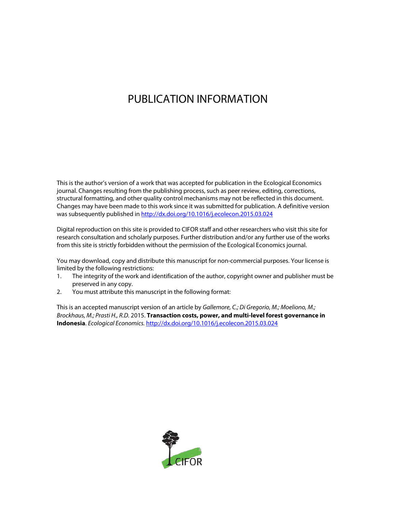# PUBLICATION INFORMATION

This is the author's version of a work that was accepted for publication in the Ecological Economics journal. Changes resulting from the publishing process, such as peer review, editing, corrections, structural formatting, and other quality control mechanisms may not be reflected in this document. Changes may have been made to this work since it was submitted for publication. A definitive version was subsequently published in http://dx.doi.org/10.1016/j.ecolecon.2015.03.024

Digital reproduction on this site is provided to CIFOR staff and other researchers who visit this site for research consultation and scholarly purposes. Further distribution and/or any further use of the works from this site is strictly forbidden without the permission of the Ecological Economics journal.

You may download, copy and distribute this manuscript for non-commercial purposes. Your license is limited by the following restrictions:

- 1. The integrity of the work and identification of the author, copyright owner and publisher must be preserved in any copy.
- 2. You must attribute this manuscript in the following format:

This is an accepted manuscript version of an article by *Gallemore, C.; Di Gregorio, M.; Moeliono, M.; Brockhaus, M.; Prasti H., R.D.* 2015. **Transaction costs, power, and multi-level forest governance in Indonesia**. *Ecological Economics.* http://dx.doi.org/10.1016/j.ecolecon.2015.03.024

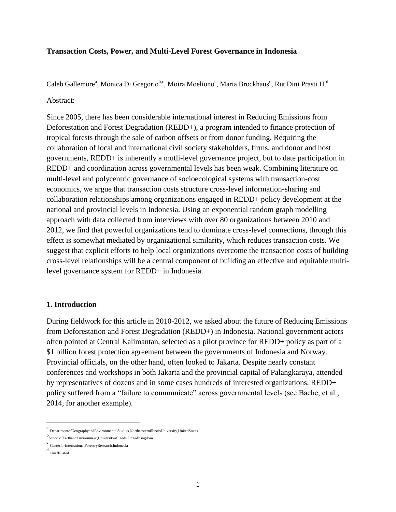### **Transaction Costs, Power, and Multi-Level Forest Governance in Indonesia**

Caleb Gallemore<sup>a</sup>, Monica Di Gregorio<sup>b,c</sup>, Moira Moeliono<sup>c</sup>, Maria Brockhaus<sup>c</sup>, Rut Dini Prasti H.<sup>d</sup>

### Abstract:

Since 2005, there has been considerable international interest in Reducing Emissions from Deforestation and Forest Degradation (REDD+), a program intended to finance protection of tropical forests through the sale of carbon offsets or from donor funding. Requiring the collaboration of local and international civil society stakeholders, firms, and donor and host governments, REDD+ is inherently a mutli-level governance project, but to date participation in REDD+ and coordination across governmental levels has been weak. Combining literature on multi-level and polycentric governance of socioecological systems with transaction-cost economics, we argue that transaction costs structure cross-level information-sharing and collaboration relationships among organizations engaged in REDD+ policy development at the national and provincial levels in Indonesia. Using an exponential random graph modelling approach with data collected from interviews with over 80 organizations between 2010 and 2012, we find that powerful organizations tend to dominate cross-level connections, through this effect is somewhat mediated by organizational similarity, which reduces transaction costs. We suggest that explicit efforts to help local organizations overcome the transaction costs of building cross-level relationships will be a central component of building an effective and equitable multilevel governance system for REDD+ in Indonesia.

### **1. Introduction**

During fieldwork for this article in 2010-2012, we asked about the future of Reducing Emissions from Deforestation and Forest Degradation (REDD+) in Indonesia. National government actors often pointed at Central Kalimantan, selected as a pilot province for REDD+ policy as part of a \$1 billion forest protection agreement between the governments of Indonesia and Norway. Provincial officials, on the other hand, often looked to Jakarta. Despite nearly constant conferences and workshops in both Jakarta and the provincial capital of Palangkaraya, attended by representatives of dozens and in some cases hundreds of interested organizations, REDD+ policy suffered from a "failure to communicate" across governmental levels (see Bache, et al., 2014, for another example).

l

a<br>DepartmentofGeographyandEnvironmentalStudies,NortheasternIllinoisUniversity,UnitedStates

b SchoolofEarthandEnvironment,UniversityofLeeds,UnitedKingdom

c CenterforInternationalForestryResearch,Indonesia

d Unaffiliated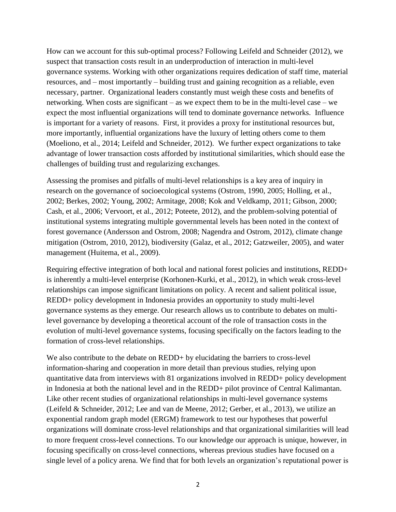How can we account for this sub-optimal process? Following Leifeld and Schneider (2012), we suspect that transaction costs result in an underproduction of interaction in multi-level governance systems. Working with other organizations requires dedication of staff time, material resources, and – most importantly – building trust and gaining recognition as a reliable, even necessary, partner. Organizational leaders constantly must weigh these costs and benefits of networking. When costs are significant – as we expect them to be in the multi-level case – we expect the most influential organizations will tend to dominate governance networks. Influence is important for a variety of reasons. First, it provides a proxy for institutional resources but, more importantly, influential organizations have the luxury of letting others come to them (Moeliono, et al., 2014; Leifeld and Schneider, 2012). We further expect organizations to take advantage of lower transaction costs afforded by institutional similarities, which should ease the challenges of building trust and regularizing exchanges.

Assessing the promises and pitfalls of multi-level relationships is a key area of inquiry in research on the governance of socioecological systems (Ostrom, 1990, 2005; Holling, et al., 2002; Berkes, 2002; Young, 2002; Armitage, 2008; Kok and Veldkamp, 2011; Gibson, 2000; Cash, et al., 2006; Vervoort, et al., 2012; Poteete, 2012), and the problem-solving potential of institutional systems integrating multiple governmental levels has been noted in the context of forest governance (Andersson and Ostrom, 2008; Nagendra and Ostrom, 2012), climate change mitigation (Ostrom, 2010, 2012), biodiversity (Galaz, et al., 2012; Gatzweiler, 2005), and water management (Huitema, et al., 2009).

Requiring effective integration of both local and national forest policies and institutions, REDD+ is inherently a multi-level enterprise (Korhonen-Kurki, et al., 2012), in which weak cross-level relationships can impose significant limitations on policy. A recent and salient political issue, REDD+ policy development in Indonesia provides an opportunity to study multi-level governance systems as they emerge. Our research allows us to contribute to debates on multilevel governance by developing a theoretical account of the role of transaction costs in the evolution of multi-level governance systems, focusing specifically on the factors leading to the formation of cross-level relationships.

We also contribute to the debate on REDD+ by elucidating the barriers to cross-level information-sharing and cooperation in more detail than previous studies, relying upon quantitative data from interviews with 81 organizations involved in REDD+ policy development in Indonesia at both the national level and in the REDD+ pilot province of Central Kalimantan. Like other recent studies of organizational relationships in multi-level governance systems (Leifeld & Schneider, 2012; Lee and van de Meene, 2012; Gerber, et al., 2013), we utilize an exponential random graph model (ERGM) framework to test our hypotheses that powerful organizations will dominate cross-level relationships and that organizational similarities will lead to more frequent cross-level connections. To our knowledge our approach is unique, however, in focusing specifically on cross-level connections, whereas previous studies have focused on a single level of a policy arena. We find that for both levels an organization's reputational power is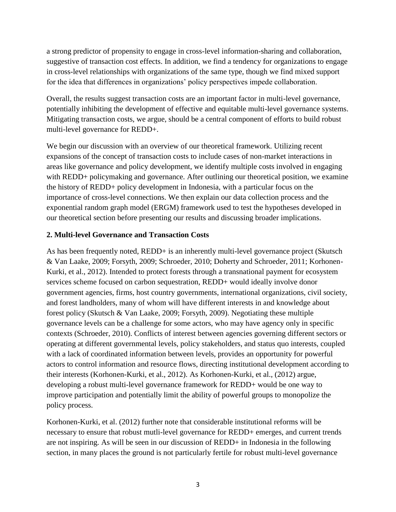a strong predictor of propensity to engage in cross-level information-sharing and collaboration, suggestive of transaction cost effects. In addition, we find a tendency for organizations to engage in cross-level relationships with organizations of the same type, though we find mixed support for the idea that differences in organizations' policy perspectives impede collaboration.

Overall, the results suggest transaction costs are an important factor in multi-level governance, potentially inhibiting the development of effective and equitable multi-level governance systems. Mitigating transaction costs, we argue, should be a central component of efforts to build robust multi-level governance for REDD+.

We begin our discussion with an overview of our theoretical framework. Utilizing recent expansions of the concept of transaction costs to include cases of non-market interactions in areas like governance and policy development, we identify multiple costs involved in engaging with REDD+ policymaking and governance. After outlining our theoretical position, we examine the history of REDD+ policy development in Indonesia, with a particular focus on the importance of cross-level connections. We then explain our data collection process and the exponential random graph model (ERGM) framework used to test the hypotheses developed in our theoretical section before presenting our results and discussing broader implications.

# **2. Multi-level Governance and Transaction Costs**

As has been frequently noted, REDD+ is an inherently multi-level governance project (Skutsch & Van Laake, 2009; Forsyth, 2009; Schroeder, 2010; Doherty and Schroeder, 2011; Korhonen-Kurki, et al., 2012). Intended to protect forests through a transnational payment for ecosystem services scheme focused on carbon sequestration, REDD+ would ideally involve donor government agencies, firms, host country governments, international organizations, civil society, and forest landholders, many of whom will have different interests in and knowledge about forest policy (Skutsch & Van Laake, 2009; Forsyth, 2009). Negotiating these multiple governance levels can be a challenge for some actors, who may have agency only in specific contexts (Schroeder, 2010). Conflicts of interest between agencies governing different sectors or operating at different governmental levels, policy stakeholders, and status quo interests, coupled with a lack of coordinated information between levels, provides an opportunity for powerful actors to control information and resource flows, directing institutional development according to their interests (Korhonen-Kurki, et al., 2012). As Korhonen-Kurki, et al., (2012) argue, developing a robust multi-level governance framework for REDD+ would be one way to improve participation and potentially limit the ability of powerful groups to monopolize the policy process.

Korhonen-Kurki, et al. (2012) further note that considerable institutional reforms will be necessary to ensure that robust mutli-level governance for REDD+ emerges, and current trends are not inspiring. As will be seen in our discussion of REDD+ in Indonesia in the following section, in many places the ground is not particularly fertile for robust multi-level governance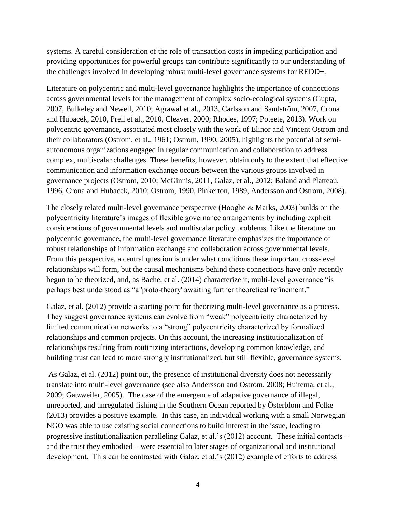systems. A careful consideration of the role of transaction costs in impeding participation and providing opportunities for powerful groups can contribute significantly to our understanding of the challenges involved in developing robust multi-level governance systems for REDD+.

Literature on polycentric and multi-level governance highlights the importance of connections across governmental levels for the management of complex socio-ecological systems (Gupta, 2007, Bulkeley and Newell, 2010; Agrawal et al., 2013, Carlsson and Sandström, 2007, Crona and Hubacek, 2010, Prell et al., 2010, Cleaver, 2000; Rhodes, 1997; Poteete, 2013). Work on polycentric governance, associated most closely with the work of Elinor and Vincent Ostrom and their collaborators (Ostrom, et al., 1961; Ostrom, 1990, 2005), highlights the potential of semiautonomous organizations engaged in regular communication and collaboration to address complex, multiscalar challenges. These benefits, however, obtain only to the extent that effective communication and information exchange occurs between the various groups involved in governance projects (Ostrom, 2010; McGinnis, 2011, Galaz, et al., 2012; Baland and Platteau, 1996, Crona and Hubacek, 2010; Ostrom, 1990, Pinkerton, 1989, Andersson and Ostrom, 2008).

The closely related multi-level governance perspective (Hooghe & Marks, 2003) builds on the polycentricity literature's images of flexible governance arrangements by including explicit considerations of governmental levels and multiscalar policy problems. Like the literature on polycentric governance, the multi-level governance literature emphasizes the importance of robust relationships of information exchange and collaboration across governmental levels. From this perspective, a central question is under what conditions these important cross-level relationships will form, but the causal mechanisms behind these connections have only recently begun to be theorized, and, as Bache, et al. (2014) characterize it, multi-level governance "is perhaps best understood as "a 'proto-theory' awaiting further theoretical refinement."

Galaz, et al. (2012) provide a starting point for theorizing multi-level governance as a process. They suggest governance systems can evolve from "weak" polycentricity characterized by limited communication networks to a "strong" polycentricity characterized by formalized relationships and common projects. On this account, the increasing institutionalization of relationships resulting from routinizing interactions, developing common knowledge, and building trust can lead to more strongly institutionalized, but still flexible, governance systems.

 As Galaz, et al. (2012) point out, the presence of institutional diversity does not necessarily translate into multi-level governance (see also Andersson and Ostrom, 2008; Huitema, et al., 2009; Gatzweiler, 2005). The case of the emergence of adapative governance of illegal, unreported, and unregulated fishing in the Southern Ocean reported by Österblom and Folke (2013) provides a positive example. In this case, an individual working with a small Norwegian NGO was able to use existing social connections to build interest in the issue, leading to progressive institutionalization paralleling Galaz, et al.'s (2012) account. These initial contacts – and the trust they embodied – were essential to later stages of organizational and institutional development. This can be contrasted with Galaz, et al.'s (2012) example of efforts to address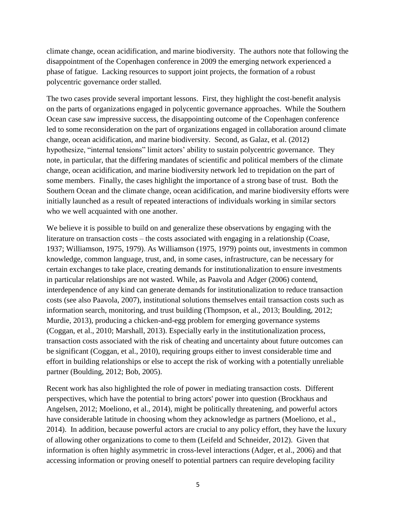climate change, ocean acidification, and marine biodiversity. The authors note that following the disappointment of the Copenhagen conference in 2009 the emerging network experienced a phase of fatigue. Lacking resources to support joint projects, the formation of a robust polycentric governance order stalled.

The two cases provide several important lessons. First, they highlight the cost-benefit analysis on the parts of organizations engaged in polycentic governance approaches. While the Southern Ocean case saw impressive success, the disappointing outcome of the Copenhagen conference led to some reconsideration on the part of organizations engaged in collaboration around climate change, ocean acidification, and marine biodiversity. Second, as Galaz, et al. (2012) hypothesize, "internal tensions" limit actors' ability to sustain polycentric governance. They note, in particular, that the differing mandates of scientific and political members of the climate change, ocean acidification, and marine biodiversity network led to trepidation on the part of some members. Finally, the cases highlight the importance of a strong base of trust. Both the Southern Ocean and the climate change, ocean acidification, and marine biodiversity efforts were initially launched as a result of repeated interactions of individuals working in similar sectors who we well acquainted with one another.

We believe it is possible to build on and generalize these observations by engaging with the literature on transaction costs – the costs associated with engaging in a relationship (Coase, 1937; Williamson, 1975, 1979). As Williamson (1975, 1979) points out, investments in common knowledge, common language, trust, and, in some cases, infrastructure, can be necessary for certain exchanges to take place, creating demands for institutionalization to ensure investments in particular relationships are not wasted. While, as Paavola and Adger (2006) contend, interdependence of any kind can generate demands for institutionalization to reduce transaction costs (see also Paavola, 2007), institutional solutions themselves entail transaction costs such as information search, monitoring, and trust building (Thompson, et al., 2013; Boulding, 2012; Murdie, 2013), producing a chicken-and-egg problem for emerging governance systems (Coggan, et al., 2010; Marshall, 2013). Especially early in the institutionalization process, transaction costs associated with the risk of cheating and uncertainty about future outcomes can be significant (Coggan, et al., 2010), requiring groups either to invest considerable time and effort in building relationships or else to accept the risk of working with a potentially unreliable partner (Boulding, 2012; Bob, 2005).

Recent work has also highlighted the role of power in mediating transaction costs. Different perspectives, which have the potential to bring actors' power into question (Brockhaus and Angelsen, 2012; Moeliono, et al., 2014), might be politically threatening, and powerful actors have considerable latitude in choosing whom they acknowledge as partners (Moeliono, et al., 2014). In addition, because powerful actors are crucial to any policy effort, they have the luxury of allowing other organizations to come to them (Leifeld and Schneider, 2012). Given that information is often highly asymmetric in cross-level interactions (Adger, et al., 2006) and that accessing information or proving oneself to potential partners can require developing facility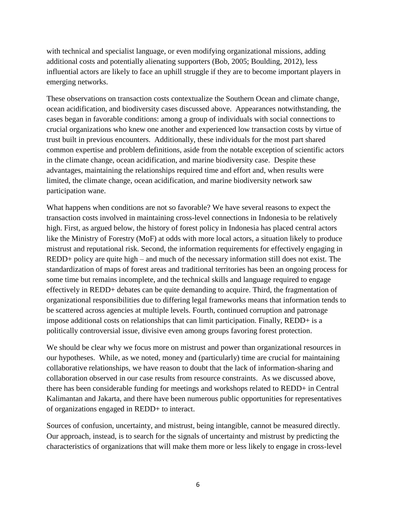with technical and specialist language, or even modifying organizational missions, adding additional costs and potentially alienating supporters (Bob, 2005; Boulding, 2012), less influential actors are likely to face an uphill struggle if they are to become important players in emerging networks.

These observations on transaction costs contextualize the Southern Ocean and climate change, ocean acidification, and biodiversity cases discussed above. Appearances notwithstanding, the cases began in favorable conditions: among a group of individuals with social connections to crucial organizations who knew one another and experienced low transaction costs by virtue of trust built in previous encounters. Additionally, these individuals for the most part shared common expertise and problem definitions, aside from the notable exception of scientific actors in the climate change, ocean acidification, and marine biodiversity case. Despite these advantages, maintaining the relationships required time and effort and, when results were limited, the climate change, ocean acidification, and marine biodiversity network saw participation wane.

What happens when conditions are not so favorable? We have several reasons to expect the transaction costs involved in maintaining cross-level connections in Indonesia to be relatively high. First, as argued below, the history of forest policy in Indonesia has placed central actors like the Ministry of Forestry (MoF) at odds with more local actors, a situation likely to produce mistrust and reputational risk. Second, the information requirements for effectively engaging in REDD+ policy are quite high – and much of the necessary information still does not exist. The standardization of maps of forest areas and traditional territories has been an ongoing process for some time but remains incomplete, and the technical skills and language required to engage effectively in REDD+ debates can be quite demanding to acquire. Third, the fragmentation of organizational responsibilities due to differing legal frameworks means that information tends to be scattered across agencies at multiple levels. Fourth, continued corruption and patronage impose additional costs on relationships that can limit participation. Finally, REDD+ is a politically controversial issue, divisive even among groups favoring forest protection.

We should be clear why we focus more on mistrust and power than organizational resources in our hypotheses. While, as we noted, money and (particularly) time are crucial for maintaining collaborative relationships, we have reason to doubt that the lack of information-sharing and collaboration observed in our case results from resource constraints. As we discussed above, there has been considerable funding for meetings and workshops related to REDD+ in Central Kalimantan and Jakarta, and there have been numerous public opportunities for representatives of organizations engaged in REDD+ to interact.

Sources of confusion, uncertainty, and mistrust, being intangible, cannot be measured directly. Our approach, instead, is to search for the signals of uncertainty and mistrust by predicting the characteristics of organizations that will make them more or less likely to engage in cross-level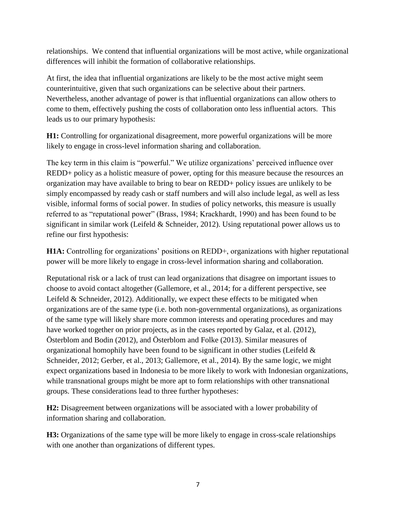relationships. We contend that influential organizations will be most active, while organizational differences will inhibit the formation of collaborative relationships.

At first, the idea that influential organizations are likely to be the most active might seem counterintuitive, given that such organizations can be selective about their partners. Nevertheless, another advantage of power is that influential organizations can allow others to come to them, effectively pushing the costs of collaboration onto less influential actors. This leads us to our primary hypothesis:

**H1:** Controlling for organizational disagreement, more powerful organizations will be more likely to engage in cross-level information sharing and collaboration.

The key term in this claim is "powerful." We utilize organizations' perceived influence over REDD+ policy as a holistic measure of power, opting for this measure because the resources an organization may have available to bring to bear on REDD+ policy issues are unlikely to be simply encompassed by ready cash or staff numbers and will also include legal, as well as less visible, informal forms of social power. In studies of policy networks, this measure is usually referred to as "reputational power" (Brass, 1984; Krackhardt, 1990) and has been found to be significant in similar work (Leifeld & Schneider, 2012). Using reputational power allows us to refine our first hypothesis:

**H1A:** Controlling for organizations' positions on REDD+, organizations with higher reputational power will be more likely to engage in cross-level information sharing and collaboration.

Reputational risk or a lack of trust can lead organizations that disagree on important issues to choose to avoid contact altogether (Gallemore, et al., 2014; for a different perspective, see Leifeld & Schneider, 2012). Additionally, we expect these effects to be mitigated when organizations are of the same type (i.e. both non-governmental organizations), as organizations of the same type will likely share more common interests and operating procedures and may have worked together on prior projects, as in the cases reported by Galaz, et al. (2012), Österblom and Bodin (2012), and Österblom and Folke (2013). Similar measures of organizational homophily have been found to be significant in other studies (Leifeld  $\&$ Schneider, 2012; Gerber, et al., 2013; Gallemore, et al., 2014). By the same logic, we might expect organizations based in Indonesia to be more likely to work with Indonesian organizations, while transnational groups might be more apt to form relationships with other transnational groups. These considerations lead to three further hypotheses:

**H2:** Disagreement between organizations will be associated with a lower probability of information sharing and collaboration.

**H3:** Organizations of the same type will be more likely to engage in cross-scale relationships with one another than organizations of different types.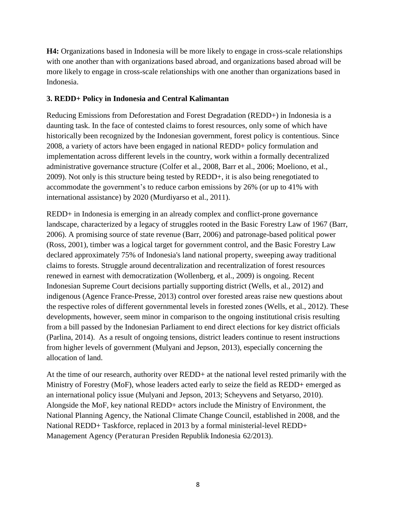**H4:** Organizations based in Indonesia will be more likely to engage in cross-scale relationships with one another than with organizations based abroad, and organizations based abroad will be more likely to engage in cross-scale relationships with one another than organizations based in Indonesia.

# **3. REDD+ Policy in Indonesia and Central Kalimantan**

Reducing Emissions from Deforestation and Forest Degradation (REDD+) in Indonesia is a daunting task. In the face of contested claims to forest resources, only some of which have historically been recognized by the Indonesian government, forest policy is contentious. Since 2008, a variety of actors have been engaged in national REDD+ policy formulation and implementation across different levels in the country, work within a formally decentralized administrative governance structure (Colfer et al., 2008, Barr et al., 2006; Moeliono, et al., 2009). Not only is this structure being tested by REDD+, it is also being renegotiated to accommodate the government's to reduce carbon emissions by 26% (or up to 41% with international assistance) by 2020 (Murdiyarso et al., 2011).

REDD+ in Indonesia is emerging in an already complex and conflict-prone governance landscape, characterized by a legacy of struggles rooted in the Basic Forestry Law of 1967 (Barr, 2006). A promising source of state revenue (Barr, 2006) and patronage-based political power (Ross, 2001), timber was a logical target for government control, and the Basic Forestry Law declared approximately 75% of Indonesia's land national property, sweeping away traditional claims to forests. Struggle around decentralization and recentralization of forest resources renewed in earnest with democratization (Wollenberg, et al., 2009) is ongoing. Recent Indonesian Supreme Court decisions partially supporting district (Wells, et al., 2012) and indigenous (Agence France-Presse, 2013) control over forested areas raise new questions about the respective roles of different governmental levels in forested zones (Wells, et al., 2012). These developments, however, seem minor in comparison to the ongoing institutional crisis resulting from a bill passed by the Indonesian Parliament to end direct elections for key district officials (Parlina, 2014). As a result of ongoing tensions, district leaders continue to resent instructions from higher levels of government (Mulyani and Jepson, 2013), especially concerning the allocation of land.

At the time of our research, authority over REDD+ at the national level rested primarily with the Ministry of Forestry (MoF), whose leaders acted early to seize the field as REDD+ emerged as an international policy issue (Mulyani and Jepson, 2013; Scheyvens and Setyarso, 2010). Alongside the MoF, key national REDD+ actors include the Ministry of Environment, the National Planning Agency, the National Climate Change Council, established in 2008, and the National REDD+ Taskforce, replaced in 2013 by a formal ministerial-level REDD+ Management Agency (Peraturan Presiden Republik Indonesia 62/2013).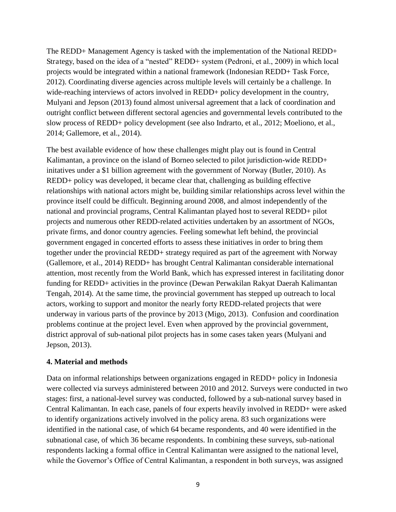The REDD+ Management Agency is tasked with the implementation of the National REDD+ Strategy, based on the idea of a "nested" REDD+ system (Pedroni, et al., 2009) in which local projects would be integrated within a national framework (Indonesian REDD+ Task Force, 2012). Coordinating diverse agencies across multiple levels will certainly be a challenge. In wide-reaching interviews of actors involved in REDD+ policy development in the country, Mulyani and Jepson (2013) found almost universal agreement that a lack of coordination and outright conflict between different sectoral agencies and governmental levels contributed to the slow process of REDD+ policy development (see also Indrarto, et al., 2012; Moeliono, et al., 2014; Gallemore, et al., 2014).

The best available evidence of how these challenges might play out is found in Central Kalimantan, a province on the island of Borneo selected to pilot jurisdiction-wide REDD+ initatives under a \$1 billion agreement with the government of Norway (Butler, 2010). As REDD+ policy was developed, it became clear that, challenging as building effective relationships with national actors might be, building similar relationships across level within the province itself could be difficult. Beginning around 2008, and almost independently of the national and provincial programs, Central Kalimantan played host to several REDD+ pilot projects and numerous other REDD-related activities undertaken by an assortment of NGOs, private firms, and donor country agencies. Feeling somewhat left behind, the provincial government engaged in concerted efforts to assess these initiatives in order to bring them together under the provincial REDD+ strategy required as part of the agreement with Norway (Gallemore, et al., 2014) REDD+ has brought Central Kalimantan considerable international attention, most recently from the World Bank, which has expressed interest in facilitating donor funding for REDD+ activities in the province (Dewan Perwakilan Rakyat Daerah Kalimantan Tengah, 2014). At the same time, the provincial government has stepped up outreach to local actors, working to support and monitor the nearly forty REDD-related projects that were underway in various parts of the province by 2013 (Migo, 2013). Confusion and coordination problems continue at the project level. Even when approved by the provincial government, district approval of sub-national pilot projects has in some cases taken years (Mulyani and Jepson, 2013).

# **4. Material and methods**

Data on informal relationships between organizations engaged in REDD+ policy in Indonesia were collected via surveys administered between 2010 and 2012. Surveys were conducted in two stages: first, a national-level survey was conducted, followed by a sub-national survey based in Central Kalimantan. In each case, panels of four experts heavily involved in REDD+ were asked to identify organizations actively involved in the policy arena. 83 such organizations were identified in the national case, of which 64 became respondents, and 40 were identified in the subnational case, of which 36 became respondents. In combining these surveys, sub-national respondents lacking a formal office in Central Kalimantan were assigned to the national level, while the Governor's Office of Central Kalimantan, a respondent in both surveys, was assigned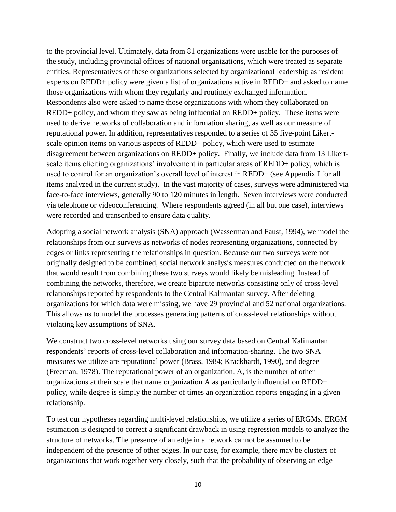to the provincial level. Ultimately, data from 81 organizations were usable for the purposes of the study, including provincial offices of national organizations, which were treated as separate entities. Representatives of these organizations selected by organizational leadership as resident experts on REDD+ policy were given a list of organizations active in REDD+ and asked to name those organizations with whom they regularly and routinely exchanged information. Respondents also were asked to name those organizations with whom they collaborated on REDD+ policy, and whom they saw as being influential on REDD+ policy. These items were used to derive networks of collaboration and information sharing, as well as our measure of reputational power. In addition, representatives responded to a series of 35 five-point Likertscale opinion items on various aspects of REDD+ policy, which were used to estimate disagreement between organizations on REDD+ policy. Finally, we include data from 13 Likertscale items eliciting organizations' involvement in particular areas of REDD+ policy, which is used to control for an organization's overall level of interest in REDD+ (see Appendix I for all items analyzed in the current study). In the vast majority of cases, surveys were administered via face-to-face interviews, generally 90 to 120 minutes in length. Seven interviews were conducted via telephone or videoconferencing. Where respondents agreed (in all but one case), interviews were recorded and transcribed to ensure data quality.

Adopting a social network analysis (SNA) approach (Wasserman and Faust, 1994), we model the relationships from our surveys as networks of nodes representing organizations, connected by edges or links representing the relationships in question. Because our two surveys were not originally designed to be combined, social network analysis measures conducted on the network that would result from combining these two surveys would likely be misleading. Instead of combining the networks, therefore, we create bipartite networks consisting only of cross-level relationships reported by respondents to the Central Kalimantan survey. After deleting organizations for which data were missing, we have 29 provincial and 52 national organizations. This allows us to model the processes generating patterns of cross-level relationships without violating key assumptions of SNA.

We construct two cross-level networks using our survey data based on Central Kalimantan respondents' reports of cross-level collaboration and information-sharing. The two SNA measures we utilize are reputational power (Brass, 1984; Krackhardt, 1990), and degree (Freeman, 1978). The reputational power of an organization, A, is the number of other organizations at their scale that name organization A as particularly influential on REDD+ policy, while degree is simply the number of times an organization reports engaging in a given relationship.

To test our hypotheses regarding multi-level relationships, we utilize a series of ERGMs. ERGM estimation is designed to correct a significant drawback in using regression models to analyze the structure of networks. The presence of an edge in a network cannot be assumed to be independent of the presence of other edges. In our case, for example, there may be clusters of organizations that work together very closely, such that the probability of observing an edge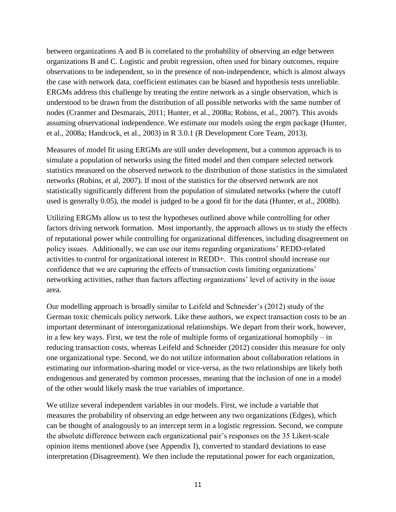between organizations A and B is correlated to the probability of observing an edge between organizations B and C. Logistic and probit regression, often used for binary outcomes, require observations to be independent, so in the presence of non-independence, which is almost always the case with network data, coefficient estimates can be biased and hypothesis tests unreliable. ERGMs address this challenge by treating the entire network as a single observation, which is understood to be drawn from the distribution of all possible networks with the same number of nodes (Cranmer and Desmarais, 2011; Hunter, et al., 2008a; Robins, et al., 2007). This avoids assuming observational independence. We estimate our models using the ergm package (Hunter, et al., 2008a; Handcock, et al., 2003) in R 3.0.1 (R Development Core Team, 2013).

Measures of model fit using ERGMs are still under development, but a common approach is to simulate a population of networks using the fitted model and then compare selected network statistics measured on the observed network to the distribution of those statistics in the simulated networks (Robins, et al, 2007). If most of the statistics for the observed network are not statistically significantly different from the population of simulated networks (where the cutoff used is generally 0.05), the model is judged to be a good fit for the data (Hunter, et al., 2008b).

Utilizing ERGMs allow us to test the hypotheses outlined above while controlling for other factors driving network formation. Most importantly, the approach allows us to study the effects of reputational power while controlling for organizational differences, including disagreement on policy issues. Additionally, we can use our items regarding organizations' REDD-related activities to control for organizational interest in REDD+. This control should increase our confidence that we are capturing the effects of transaction costs limiting organizations' networking activities, rather than factors affecting organizations' level of activity in the issue area.

Our modelling approach is broadly similar to Leifeld and Schneider's (2012) study of the German toxic chemicals policy network. Like these authors, we expect transaction costs to be an important determinant of interorganizational relationships. We depart from their work, however, in a few key ways. First, we test the role of multiple forms of organizational homophily – in reducing transaction costs, whereas Leifeld and Schneider (2012) consider this measure for only one organizational type. Second, we do not utilize information about collaboration relations in estimating our information-sharing model or vice-versa, as the two relationships are likely both endogenous and generated by common processes, meaning that the inclusion of one in a model of the other would likely mask the true variables of importance.

We utilize several independent variables in our models. First, we include a variable that measures the probability of observing an edge between any two organizations (Edges), which can be thought of analogously to an intercept term in a logistic regression. Second, we compute the absolute difference between each organizational pair's responses on the 35 Likert-scale opinion items mentioned above (see Appendix I), converted to standard deviations to ease interpretation (Disagreement). We then include the reputational power for each organization,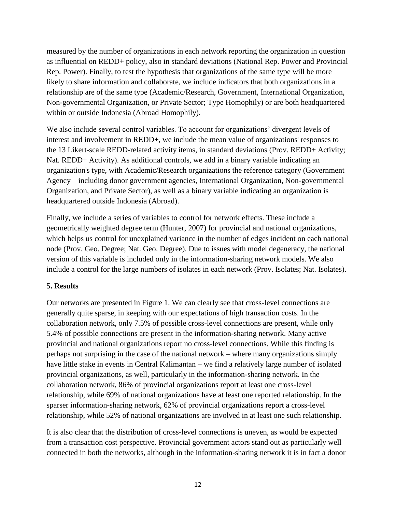measured by the number of organizations in each network reporting the organization in question as influential on REDD+ policy, also in standard deviations (National Rep. Power and Provincial Rep. Power). Finally, to test the hypothesis that organizations of the same type will be more likely to share information and collaborate, we include indicators that both organizations in a relationship are of the same type (Academic/Research, Government, International Organization, Non-governmental Organization, or Private Sector; Type Homophily) or are both headquartered within or outside Indonesia (Abroad Homophily).

We also include several control variables. To account for organizations' divergent levels of interest and involvement in REDD+, we include the mean value of organizations' responses to the 13 Likert-scale REDD-related activity items, in standard deviations (Prov. REDD+ Activity; Nat. REDD+ Activity). As additional controls, we add in a binary variable indicating an organization's type, with Academic/Research organizations the reference category (Government Agency – including donor government agencies, International Organization, Non-governmental Organization, and Private Sector), as well as a binary variable indicating an organization is headquartered outside Indonesia (Abroad).

Finally, we include a series of variables to control for network effects. These include a geometrically weighted degree term (Hunter, 2007) for provincial and national organizations, which helps us control for unexplained variance in the number of edges incident on each national node (Prov. Geo. Degree; Nat. Geo. Degree). Due to issues with model degeneracy, the national version of this variable is included only in the information-sharing network models. We also include a control for the large numbers of isolates in each network (Prov. Isolates; Nat. Isolates).

# **5. Results**

Our networks are presented in Figure 1. We can clearly see that cross-level connections are generally quite sparse, in keeping with our expectations of high transaction costs. In the collaboration network, only 7.5% of possible cross-level connections are present, while only 5.4% of possible connections are present in the information-sharing network. Many active provincial and national organizations report no cross-level connections. While this finding is perhaps not surprising in the case of the national network – where many organizations simply have little stake in events in Central Kalimantan – we find a relatively large number of isolated provincial organizations, as well, particularly in the information-sharing network. In the collaboration network, 86% of provincial organizations report at least one cross-level relationship, while 69% of national organizations have at least one reported relationship. In the sparser information-sharing network, 62% of provincial organizations report a cross-level relationship, while 52% of national organizations are involved in at least one such relationship.

It is also clear that the distribution of cross-level connections is uneven, as would be expected from a transaction cost perspective. Provincial government actors stand out as particularly well connected in both the networks, although in the information-sharing network it is in fact a donor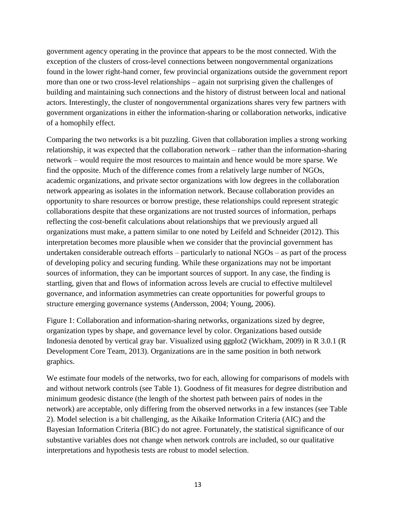government agency operating in the province that appears to be the most connected. With the exception of the clusters of cross-level connections between nongovernmental organizations found in the lower right-hand corner, few provincial organizations outside the government report more than one or two cross-level relationships – again not surprising given the challenges of building and maintaining such connections and the history of distrust between local and national actors. Interestingly, the cluster of nongovernmental organizations shares very few partners with government organizations in either the information-sharing or collaboration networks, indicative of a homophily effect.

Comparing the two networks is a bit puzzling. Given that collaboration implies a strong working relationship, it was expected that the collaboration network – rather than the information-sharing network – would require the most resources to maintain and hence would be more sparse. We find the opposite. Much of the difference comes from a relatively large number of NGOs, academic organizations, and private sector organizations with low degrees in the collaboration network appearing as isolates in the information network. Because collaboration provides an opportunity to share resources or borrow prestige, these relationships could represent strategic collaborations despite that these organizations are not trusted sources of information, perhaps reflecting the cost-benefit calculations about relationships that we previously argued all organizations must make, a pattern similar to one noted by Leifeld and Schneider (2012). This interpretation becomes more plausible when we consider that the provincial government has undertaken considerable outreach efforts – particularly to national NGOs – as part of the process of developing policy and securing funding. While these organizations may not be important sources of information, they can be important sources of support. In any case, the finding is startling, given that and flows of information across levels are crucial to effective multilevel governance, and information asymmetries can create opportunities for powerful groups to structure emerging governance systems (Andersson, 2004; Young, 2006).

Figure 1: Collaboration and information-sharing networks, organizations sized by degree, organization types by shape, and governance level by color. Organizations based outside Indonesia denoted by vertical gray bar. Visualized using ggplot2 (Wickham, 2009) in R 3.0.1 (R Development Core Team, 2013). Organizations are in the same position in both network graphics.

We estimate four models of the networks, two for each, allowing for comparisons of models with and without network controls (see Table 1). Goodness of fit measures for degree distribution and minimum geodesic distance (the length of the shortest path between pairs of nodes in the network) are acceptable, only differing from the observed networks in a few instances (see Table 2). Model selection is a bit challenging, as the Aikaike Information Criteria (AIC) and the Bayesian Information Criteria (BIC) do not agree. Fortunately, the statistical significance of our substantive variables does not change when network controls are included, so our qualitative interpretations and hypothesis tests are robust to model selection.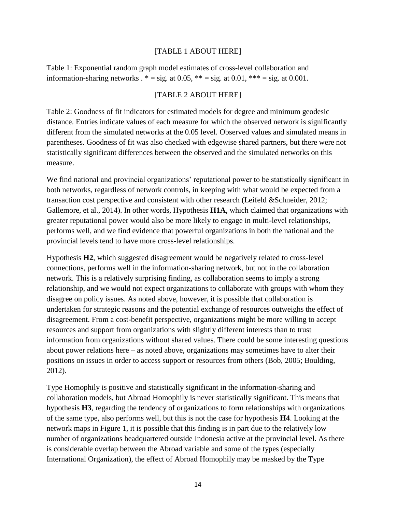# [TABLE 1 ABOUT HERE]

Table 1: Exponential random graph model estimates of cross-level collaboration and information-sharing networks  $.* = sig.$  at 0.05,  $** = sig.$  at 0.01,  $*** = sig.$  at 0.001.

# [TABLE 2 ABOUT HERE]

Table 2: Goodness of fit indicators for estimated models for degree and minimum geodesic distance. Entries indicate values of each measure for which the observed network is significantly different from the simulated networks at the 0.05 level. Observed values and simulated means in parentheses. Goodness of fit was also checked with edgewise shared partners, but there were not statistically significant differences between the observed and the simulated networks on this measure.

We find national and provincial organizations' reputational power to be statistically significant in both networks, regardless of network controls, in keeping with what would be expected from a transaction cost perspective and consistent with other research (Leifeld &Schneider, 2012; Gallemore, et al., 2014). In other words, Hypothesis **H1A**, which claimed that organizations with greater reputational power would also be more likely to engage in multi-level relationships, performs well, and we find evidence that powerful organizations in both the national and the provincial levels tend to have more cross-level relationships.

Hypothesis **H2**, which suggested disagreement would be negatively related to cross-level connections, performs well in the information-sharing network, but not in the collaboration network. This is a relatively surprising finding, as collaboration seems to imply a strong relationship, and we would not expect organizations to collaborate with groups with whom they disagree on policy issues. As noted above, however, it is possible that collaboration is undertaken for strategic reasons and the potential exchange of resources outweighs the effect of disagreement. From a cost-benefit perspective, organizations might be more willing to accept resources and support from organizations with slightly different interests than to trust information from organizations without shared values. There could be some interesting questions about power relations here – as noted above, organizations may sometimes have to alter their positions on issues in order to access support or resources from others (Bob, 2005; Boulding, 2012).

Type Homophily is positive and statistically significant in the information-sharing and collaboration models, but Abroad Homophily is never statistically significant. This means that hypothesis **H3**, regarding the tendency of organizations to form relationships with organizations of the same type, also performs well, but this is not the case for hypothesis **H4**. Looking at the network maps in Figure 1, it is possible that this finding is in part due to the relatively low number of organizations headquartered outside Indonesia active at the provincial level. As there is considerable overlap between the Abroad variable and some of the types (especially International Organization), the effect of Abroad Homophily may be masked by the Type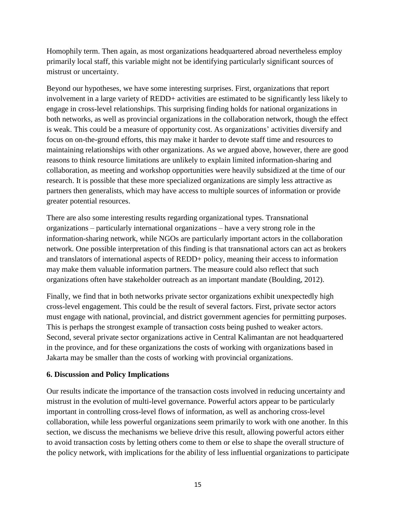Homophily term. Then again, as most organizations headquartered abroad nevertheless employ primarily local staff, this variable might not be identifying particularly significant sources of mistrust or uncertainty.

Beyond our hypotheses, we have some interesting surprises. First, organizations that report involvement in a large variety of REDD+ activities are estimated to be significantly less likely to engage in cross-level relationships. This surprising finding holds for national organizations in both networks, as well as provincial organizations in the collaboration network, though the effect is weak. This could be a measure of opportunity cost. As organizations' activities diversify and focus on on-the-ground efforts, this may make it harder to devote staff time and resources to maintaining relationships with other organizations. As we argued above, however, there are good reasons to think resource limitations are unlikely to explain limited information-sharing and collaboration, as meeting and workshop opportunities were heavily subsidized at the time of our research. It is possible that these more specialized organizations are simply less attractive as partners then generalists, which may have access to multiple sources of information or provide greater potential resources.

There are also some interesting results regarding organizational types. Transnational organizations – particularly international organizations – have a very strong role in the information-sharing network, while NGOs are particularly important actors in the collaboration network. One possible interpretation of this finding is that transnational actors can act as brokers and translators of international aspects of REDD+ policy, meaning their access to information may make them valuable information partners. The measure could also reflect that such organizations often have stakeholder outreach as an important mandate (Boulding, 2012).

Finally, we find that in both networks private sector organizations exhibit unexpectedly high cross-level engagement. This could be the result of several factors. First, private sector actors must engage with national, provincial, and district government agencies for permitting purposes. This is perhaps the strongest example of transaction costs being pushed to weaker actors. Second, several private sector organizations active in Central Kalimantan are not headquartered in the province, and for these organizations the costs of working with organizations based in Jakarta may be smaller than the costs of working with provincial organizations.

# **6. Discussion and Policy Implications**

Our results indicate the importance of the transaction costs involved in reducing uncertainty and mistrust in the evolution of multi-level governance. Powerful actors appear to be particularly important in controlling cross-level flows of information, as well as anchoring cross-level collaboration, while less powerful organizations seem primarily to work with one another. In this section, we discuss the mechanisms we believe drive this result, allowing powerful actors either to avoid transaction costs by letting others come to them or else to shape the overall structure of the policy network, with implications for the ability of less influential organizations to participate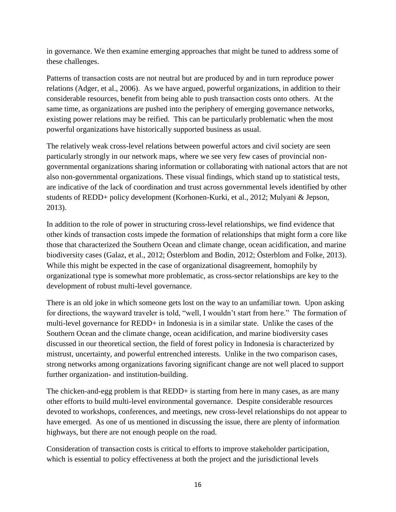in governance. We then examine emerging approaches that might be tuned to address some of these challenges.

Patterns of transaction costs are not neutral but are produced by and in turn reproduce power relations (Adger, et al., 2006). As we have argued, powerful organizations, in addition to their considerable resources, benefit from being able to push transaction costs onto others. At the same time, as organizations are pushed into the periphery of emerging governance networks, existing power relations may be reified. This can be particularly problematic when the most powerful organizations have historically supported business as usual.

The relatively weak cross-level relations between powerful actors and civil society are seen particularly strongly in our network maps, where we see very few cases of provincial nongovernmental organizations sharing information or collaborating with national actors that are not also non-governmental organizations. These visual findings, which stand up to statistical tests, are indicative of the lack of coordination and trust across governmental levels identified by other students of REDD+ policy development (Korhonen-Kurki, et al., 2012; Mulyani & Jepson, 2013).

In addition to the role of power in structuring cross-level relationships, we find evidence that other kinds of transaction costs impede the formation of relationships that might form a core like those that characterized the Southern Ocean and climate change, ocean acidification, and marine biodiversity cases (Galaz, et al., 2012; Österblom and Bodin, 2012; Österblom and Folke, 2013). While this might be expected in the case of organizational disagreement, homophily by organizational type is somewhat more problematic, as cross-sector relationships are key to the development of robust multi-level governance.

There is an old joke in which someone gets lost on the way to an unfamiliar town. Upon asking for directions, the wayward traveler is told, "well, I wouldn't start from here." The formation of multi-level governance for REDD+ in Indonesia is in a similar state. Unlike the cases of the Southern Ocean and the climate change, ocean acidification, and marine biodiversity cases discussed in our theoretical section, the field of forest policy in Indonesia is characterized by mistrust, uncertainty, and powerful entrenched interests. Unlike in the two comparison cases, strong networks among organizations favoring significant change are not well placed to support further organization- and institution-building.

The chicken-and-egg problem is that REDD+ is starting from here in many cases, as are many other efforts to build multi-level environmental governance. Despite considerable resources devoted to workshops, conferences, and meetings, new cross-level relationships do not appear to have emerged. As one of us mentioned in discussing the issue, there are plenty of information highways, but there are not enough people on the road.

Consideration of transaction costs is critical to efforts to improve stakeholder participation, which is essential to policy effectiveness at both the project and the jurisdictional levels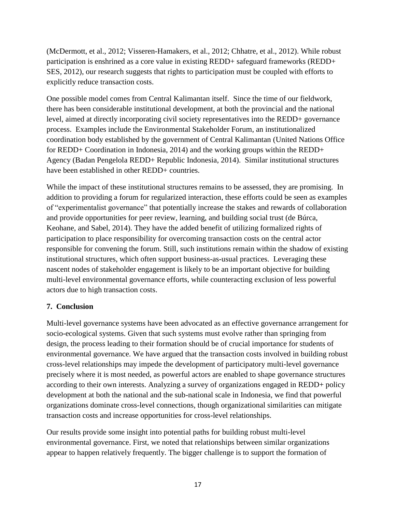(McDermott, et al., 2012; Visseren-Hamakers, et al., 2012; Chhatre, et al., 2012). While robust participation is enshrined as a core value in existing REDD+ safeguard frameworks (REDD+ SES, 2012), our research suggests that rights to participation must be coupled with efforts to explicitly reduce transaction costs.

One possible model comes from Central Kalimantan itself. Since the time of our fieldwork, there has been considerable institutional development, at both the provincial and the national level, aimed at directly incorporating civil society representatives into the REDD+ governance process. Examples include the Environmental Stakeholder Forum, an institutionalized coordination body established by the government of Central Kalimantan (United Nations Office for REDD+ Coordination in Indonesia, 2014) and the working groups within the REDD+ Agency (Badan Pengelola REDD+ Republic Indonesia, 2014). Similar institutional structures have been established in other REDD+ countries.

While the impact of these institutional structures remains to be assessed, they are promising. In addition to providing a forum for regularized interaction, these efforts could be seen as examples of "experimentalist governance" that potentially increase the stakes and rewards of collaboration and provide opportunities for peer review, learning, and building social trust (de Búrca, Keohane, and Sabel, 2014). They have the added benefit of utilizing formalized rights of participation to place responsibility for overcoming transaction costs on the central actor responsible for convening the forum. Still, such institutions remain within the shadow of existing institutional structures, which often support business-as-usual practices. Leveraging these nascent nodes of stakeholder engagement is likely to be an important objective for building multi-level environmental governance efforts, while counteracting exclusion of less powerful actors due to high transaction costs.

# **7. Conclusion**

Multi-level governance systems have been advocated as an effective governance arrangement for socio-ecological systems. Given that such systems must evolve rather than springing from design, the process leading to their formation should be of crucial importance for students of environmental governance. We have argued that the transaction costs involved in building robust cross-level relationships may impede the development of participatory multi-level governance precisely where it is most needed, as powerful actors are enabled to shape governance structures according to their own interests. Analyzing a survey of organizations engaged in REDD+ policy development at both the national and the sub-national scale in Indonesia, we find that powerful organizations dominate cross-level connections, though organizational similarities can mitigate transaction costs and increase opportunities for cross-level relationships.

Our results provide some insight into potential paths for building robust multi-level environmental governance. First, we noted that relationships between similar organizations appear to happen relatively frequently. The bigger challenge is to support the formation of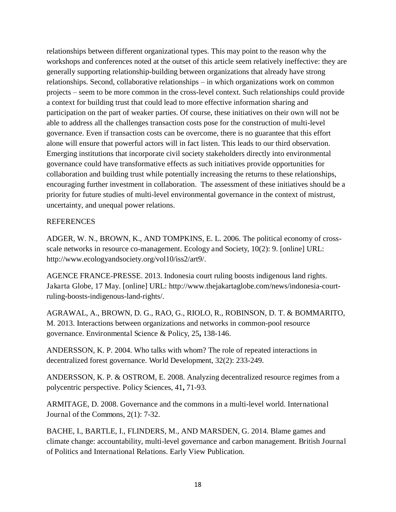relationships between different organizational types. This may point to the reason why the workshops and conferences noted at the outset of this article seem relatively ineffective: they are generally supporting relationship-building between organizations that already have strong relationships. Second, collaborative relationships – in which organizations work on common projects – seem to be more common in the cross-level context. Such relationships could provide a context for building trust that could lead to more effective information sharing and participation on the part of weaker parties. Of course, these initiatives on their own will not be able to address all the challenges transaction costs pose for the construction of multi-level governance. Even if transaction costs can be overcome, there is no guarantee that this effort alone will ensure that powerful actors will in fact listen. This leads to our third observation. Emerging institutions that incorporate civil society stakeholders directly into environmental governance could have transformative effects as such initiatives provide opportunities for collaboration and building trust while potentially increasing the returns to these relationships, encouraging further investment in collaboration. The assessment of these initiatives should be a priority for future studies of multi-level environmental governance in the context of mistrust, uncertainty, and unequal power relations.

# **REFERENCES**

ADGER, W. N., BROWN, K., AND TOMPKINS, E. L. 2006. The political economy of crossscale networks in resource co-management. Ecology and Society, 10(2): 9. [online] URL: http://www.ecologyandsociety.org/vol10/iss2/art9/.

AGENCE FRANCE-PRESSE. 2013. Indonesia court ruling boosts indigenous land rights. Jakarta Globe, 17 May. [online] URL: http://www.thejakartaglobe.com/news/indonesia-courtruling-boosts-indigenous-land-rights/.

AGRAWAL, A., BROWN, D. G., RAO, G., RIOLO, R., ROBINSON, D. T. & BOMMARITO, M. 2013. Interactions between organizations and networks in common-pool resource governance. Environmental Science & Policy, 25**,** 138-146.

ANDERSSON, K. P. 2004. Who talks with whom? The role of repeated interactions in decentralized forest governance. World Development, 32(2): 233-249.

ANDERSSON, K. P. & OSTROM, E. 2008. Analyzing decentralized resource regimes from a polycentric perspective. Policy Sciences, 41**,** 71-93.

ARMITAGE, D. 2008. Governance and the commons in a multi-level world. International Journal of the Commons, 2(1): 7-32.

BACHE, I., BARTLE, I., FLINDERS, M., AND MARSDEN, G. 2014. Blame games and climate change: accountability, multi-level governance and carbon management. British Journal of Politics and International Relations. Early View Publication.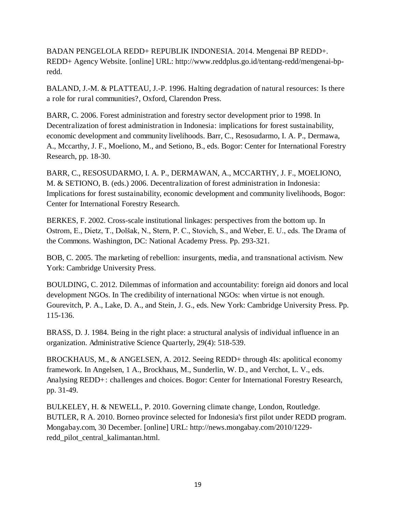BADAN PENGELOLA REDD+ REPUBLIK INDONESIA. 2014. Mengenai BP REDD+. REDD+ Agency Website. [online] URL: http://www.reddplus.go.id/tentang-redd/mengenai-bpredd.

BALAND, J.-M. & PLATTEAU, J.-P. 1996. Halting degradation of natural resources: Is there a role for rural communities?, Oxford, Clarendon Press.

BARR, C. 2006. Forest administration and forestry sector development prior to 1998. In Decentralization of forest administration in Indonesia: implications for forest sustainability, economic development and community livelihoods. Barr, C., Resosudarmo, I. A. P., Dermawa, A., Mccarthy, J. F., Moeliono, M., and Setiono, B., eds. Bogor: Center for International Forestry Research, pp. 18-30.

BARR, C., RESOSUDARMO, I. A. P., DERMAWAN, A., MCCARTHY, J. F., MOELIONO, M. & SETIONO, B. (eds.) 2006. Decentralization of forest administration in Indonesia: Implications for forest sustainability, economic development and community livelihoods, Bogor: Center for International Forestry Research.

BERKES, F. 2002. Cross-scale institutional linkages: perspectives from the bottom up. In Ostrom, E., Dietz, T., Dolšak, N., Stern, P. C., Stovich, S., and Weber, E. U., eds. The Drama of the Commons. Washington, DC: National Academy Press. Pp. 293-321.

BOB, C. 2005. The marketing of rebellion: insurgents, media, and transnational activism. New York: Cambridge University Press.

BOULDING, C. 2012. Dilemmas of information and accountability: foreign aid donors and local development NGOs. In The credibility of international NGOs: when virtue is not enough. Gourevitch, P. A., Lake, D. A., and Stein, J. G., eds. New York: Cambridge University Press. Pp. 115-136.

BRASS, D. J. 1984. Being in the right place: a structural analysis of individual influence in an organization. Administrative Science Quarterly, 29(4): 518-539.

BROCKHAUS, M., & ANGELSEN, A. 2012. Seeing REDD+ through 4Is: apolitical economy framework. In Angelsen, 1 A., Brockhaus, M., Sunderlin, W. D., and Verchot, L. V., eds. Analysing REDD+: challenges and choices. Bogor: Center for International Forestry Research, pp. 31-49.

BULKELEY, H. & NEWELL, P. 2010. Governing climate change, London, Routledge. BUTLER, R A. 2010. Borneo province selected for Indonesia's first pilot under REDD program. Mongabay.com, 30 December. [online] URL: http://news.mongabay.com/2010/1229 redd\_pilot\_central\_kalimantan.html.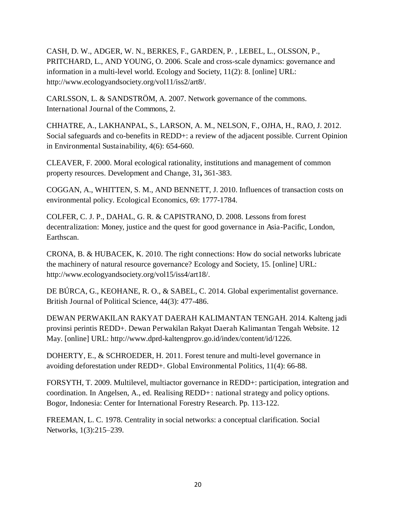CASH, D. W., ADGER, W. N., BERKES, F., GARDEN, P. , LEBEL, L., OLSSON, P., PRITCHARD, L., AND YOUNG, O. 2006. Scale and cross-scale dynamics: governance and information in a multi-level world. Ecology and Society, 11(2): 8. [online] URL: http://www.ecologyandsociety.org/vol11/iss2/art8/.

CARLSSON, L. & SANDSTRÖM, A. 2007. Network governance of the commons. International Journal of the Commons, 2.

CHHATRE, A., LAKHANPAL, S., LARSON, A. M., NELSON, F., OJHA, H., RAO, J. 2012. Social safeguards and co-benefits in REDD+: a review of the adjacent possible. Current Opinion in Environmental Sustainability, 4(6): 654-660.

CLEAVER, F. 2000. Moral ecological rationality, institutions and management of common property resources. Development and Change, 31**,** 361-383.

COGGAN, A., WHITTEN, S. M., AND BENNETT, J. 2010. Influences of transaction costs on environmental policy. Ecological Economics, 69: 1777-1784.

COLFER, C. J. P., DAHAL, G. R. & CAPISTRANO, D. 2008. Lessons from forest decentralization: Money, justice and the quest for good governance in Asia-Pacific, London, Earthscan.

CRONA, B. & HUBACEK, K. 2010. The right connections: How do social networks lubricate the machinery of natural resource governance? Ecology and Society, 15. [online] URL: http://www.ecologyandsociety.org/vol15/iss4/art18/.

DE BÚRCA, G., KEOHANE, R. O., & SABEL, C. 2014. Global experimentalist governance. British Journal of Political Science, 44(3): 477-486.

DEWAN PERWAKILAN RAKYAT DAERAH KALIMANTAN TENGAH. 2014. Kalteng jadi provinsi perintis REDD+. Dewan Perwakilan Rakyat Daerah Kalimantan Tengah Website. 12 May. [online] URL: http://www.dprd-kaltengprov.go.id/index/content/id/1226.

DOHERTY, E., & SCHROEDER, H. 2011. Forest tenure and multi-level governance in avoiding deforestation under REDD+. Global Environmental Politics, 11(4): 66-88.

FORSYTH, T. 2009. Multilevel, multiactor governance in REDD+: participation, integration and coordination. In Angelsen, A., ed. Realising REDD+: national strategy and policy options. Bogor, Indonesia: Center for International Forestry Research. Pp. 113-122.

FREEMAN, L. C. 1978. Centrality in social networks: a conceptual clarification. Social Networks, 1(3):215–239.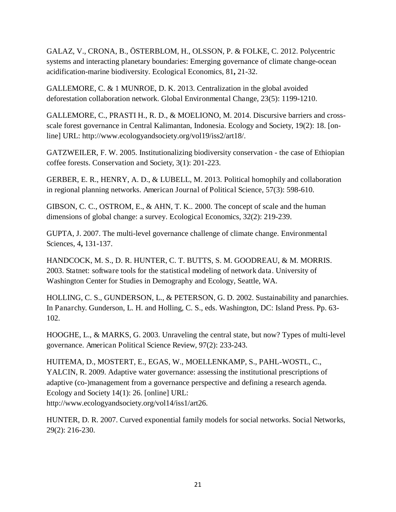GALAZ, V., CRONA, B., ÖSTERBLOM, H., OLSSON, P. & FOLKE, C. 2012. Polycentric systems and interacting planetary boundaries: Emerging governance of climate change-ocean acidification-marine biodiversity. Ecological Economics, 81**,** 21-32.

GALLEMORE, C. & 1 MUNROE, D. K. 2013. Centralization in the global avoided deforestation collaboration network. Global Environmental Change, 23(5): 1199-1210.

GALLEMORE, C., PRASTI H., R. D., & MOELIONO, M. 2014. Discursive barriers and crossscale forest governance in Central Kalimantan, Indonesia. Ecology and Society, 19(2): 18. [online] URL: http://www.ecologyandsociety.org/vol19/iss2/art18/.

GATZWEILER, F. W. 2005. Institutionalizing biodiversity conservation - the case of Ethiopian coffee forests. Conservation and Society, 3(1): 201-223.

GERBER, E. R., HENRY, A. D., & LUBELL, M. 2013. Political homophily and collaboration in regional planning networks. American Journal of Political Science, 57(3): 598-610.

GIBSON, C. C., OSTROM, E., & AHN, T. K.. 2000. The concept of scale and the human dimensions of global change: a survey. Ecological Economics, 32(2): 219-239.

GUPTA, J. 2007. The multi-level governance challenge of climate change. Environmental Sciences, 4**,** 131-137.

HANDCOCK, M. S., D. R. HUNTER, C. T. BUTTS, S. M. GOODREAU, & M. MORRIS. 2003. Statnet: software tools for the statistical modeling of network data. University of Washington Center for Studies in Demography and Ecology, Seattle, WA.

HOLLING, C. S., GUNDERSON, L., & PETERSON, G. D. 2002. Sustainability and panarchies. In Panarchy. Gunderson, L. H. and Holling, C. S., eds. Washington, DC: Island Press. Pp. 63- 102.

HOOGHE, L., & MARKS, G. 2003. Unraveling the central state, but now? Types of multi-level governance. American Political Science Review, 97(2): 233-243.

HUITEMA, D., MOSTERT, E., EGAS, W., MOELLENKAMP, S., PAHL-WOSTL, C., YALCIN, R. 2009. Adaptive water governance: assessing the institutional prescriptions of adaptive (co-)management from a governance perspective and defining a research agenda. Ecology and Society 14(1): 26. [online] URL: http://www.ecologyandsociety.org/vol14/iss1/art26.

HUNTER, D. R. 2007. Curved exponential family models for social networks. Social Networks, 29(2): 216-230.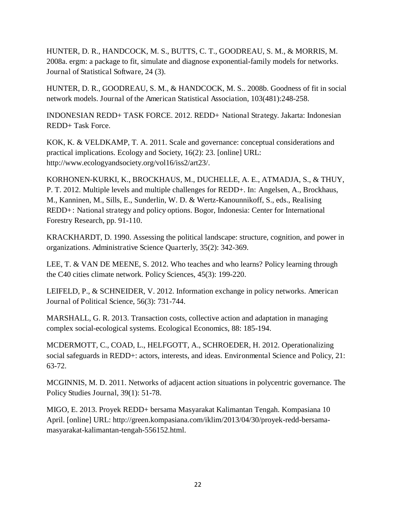HUNTER, D. R., HANDCOCK, M. S., BUTTS, C. T., GOODREAU, S. M., & MORRIS, M. 2008a. ergm: a package to fit, simulate and diagnose exponential-family models for networks. Journal of Statistical Software, 24 (3).

HUNTER, D. R., GOODREAU, S. M., & HANDCOCK, M. S.. 2008b. Goodness of fit in social network models. Journal of the American Statistical Association, 103(481):248-258.

INDONESIAN REDD+ TASK FORCE. 2012. REDD+ National Strategy. Jakarta: Indonesian REDD+ Task Force.

KOK, K. & VELDKAMP, T. A. 2011. Scale and governance: conceptual considerations and practical implications. Ecology and Society, 16(2): 23. [online] URL: http://www.ecologyandsociety.org/vol16/iss2/art23/.

KORHONEN-KURKI, K., BROCKHAUS, M., DUCHELLE, A. E., ATMADJA, S., & THUY, P. T. 2012. Multiple levels and multiple challenges for REDD+. In: Angelsen, A., Brockhaus, M., Kanninen, M., Sills, E., Sunderlin, W. D. & Wertz-Kanounnikoff, S., eds., Realising REDD+: National strategy and policy options. Bogor, Indonesia: Center for International Forestry Research, pp. 91-110.

KRACKHARDT, D. 1990. Assessing the political landscape: structure, cognition, and power in organizations. Administrative Science Quarterly, 35(2): 342-369.

LEE, T. & VAN DE MEENE, S. 2012. Who teaches and who learns? Policy learning through the C40 cities climate network. Policy Sciences, 45(3): 199-220.

LEIFELD, P., & SCHNEIDER, V. 2012. Information exchange in policy networks. American Journal of Political Science, 56(3): 731-744.

MARSHALL, G. R. 2013. Transaction costs, collective action and adaptation in managing complex social-ecological systems. Ecological Economics, 88: 185-194.

MCDERMOTT, C., COAD, L., HELFGOTT, A., SCHROEDER, H. 2012. Operationalizing social safeguards in REDD+: actors, interests, and ideas. Environmental Science and Policy, 21: 63-72.

MCGINNIS, M. D. 2011. Networks of adjacent action situations in polycentric governance. The Policy Studies Journal, 39(1): 51-78.

MIGO, E. 2013. Proyek REDD+ bersama Masyarakat Kalimantan Tengah. Kompasiana 10 April. [online] URL: http://green.kompasiana.com/iklim/2013/04/30/proyek-redd-bersamamasyarakat-kalimantan-tengah-556152.html.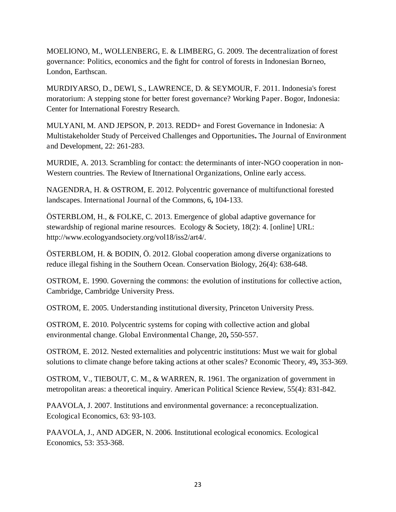MOELIONO, M., WOLLENBERG, E. & LIMBERG, G. 2009. The decentralization of forest governance: Politics, economics and the fight for control of forests in Indonesian Borneo, London, Earthscan.

MURDIYARSO, D., DEWI, S., LAWRENCE, D. & SEYMOUR, F. 2011. Indonesia's forest moratorium: A stepping stone for better forest governance? Working Paper. Bogor, Indonesia: Center for International Forestry Research.

MULYANI, M. AND JEPSON, P. 2013. REDD+ and Forest Governance in Indonesia: A Multistakeholder Study of Perceived Challenges and Opportunities**.** The Journal of Environment and Development, 22: 261-283.

MURDIE, A. 2013. Scrambling for contact: the determinants of inter-NGO cooperation in non-Western countries. The Review of Itnernational Organizations, Online early access.

NAGENDRA, H. & OSTROM, E. 2012. Polycentric governance of multifunctional forested landscapes. International Journal of the Commons, 6**,** 104-133.

ÖSTERBLOM, H., & FOLKE, C. 2013. Emergence of global adaptive governance for stewardship of regional marine resources. Ecology & Society, 18(2): 4. [online] URL: http://www.ecologyandsociety.org/vol18/iss2/art4/.

ÖSTERBLOM, H. & BODIN, Ö. 2012. Global cooperation among diverse organizations to reduce illegal fishing in the Southern Ocean. Conservation Biology, 26(4): 638-648.

OSTROM, E. 1990. Governing the commons: the evolution of institutions for collective action, Cambridge, Cambridge University Press.

OSTROM, E. 2005. Understanding institutional diversity, Princeton University Press.

OSTROM, E. 2010. Polycentric systems for coping with collective action and global environmental change. Global Environmental Change, 20**,** 550-557.

OSTROM, E. 2012. Nested externalities and polycentric institutions: Must we wait for global solutions to climate change before taking actions at other scales? Economic Theory, 49**,** 353-369.

OSTROM, V., TIEBOUT, C. M., & WARREN, R. 1961. The organization of government in metropolitan areas: a theoretical inquiry. American Political Science Review, 55(4): 831-842.

PAAVOLA, J. 2007. Institutions and environmental governance: a reconceptualization. Ecological Economics, 63: 93-103.

PAAVOLA, J., AND ADGER, N. 2006. Institutional ecological economics. Ecological Economics, 53: 353-368.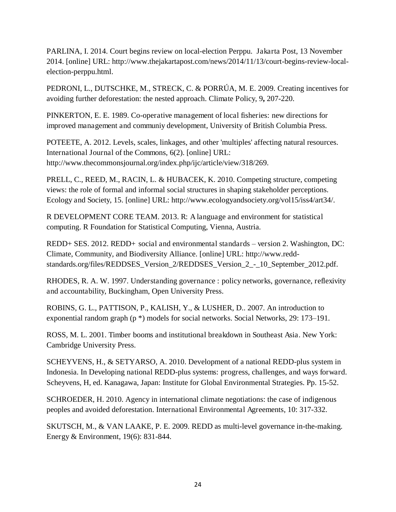PARLINA, I. 2014. Court begins review on local-election Perppu. Jakarta Post, 13 November 2014. [online] URL: http://www.thejakartapost.com/news/2014/11/13/court-begins-review-localelection-perppu.html.

PEDRONI, L., DUTSCHKE, M., STRECK, C. & PORRÚA, M. E. 2009. Creating incentives for avoiding further deforestation: the nested approach. Climate Policy, 9**,** 207-220.

PINKERTON, E. E. 1989. Co-operative management of local fisheries: new directions for improved management and communiy development, University of British Columbia Press.

POTEETE, A. 2012. Levels, scales, linkages, and other 'multiples' affecting natural resources. International Journal of the Commons, 6(2). [online] URL: http://www.thecommonsjournal.org/index.php/ijc/article/view/318/269.

PRELL, C., REED, M., RACIN, L. & HUBACEK, K. 2010. Competing structure, competing views: the role of formal and informal social structures in shaping stakeholder perceptions. Ecology and Society, 15. [online] URL: http://www.ecologyandsociety.org/vol15/iss4/art34/.

R DEVELOPMENT CORE TEAM. 2013. R: A language and environment for statistical computing. R Foundation for Statistical Computing, Vienna, Austria.

REDD+ SES. 2012. REDD+ social and environmental standards *–* version 2. Washington, DC: Climate, Community, and Biodiversity Alliance. [online] URL: http://www.reddstandards.org/files/REDDSES\_Version\_2/REDDSES\_Version\_2\_-\_10\_September\_2012.pdf.

RHODES, R. A. W. 1997. Understanding governance : policy networks, governance, reflexivity and accountability, Buckingham, Open University Press.

ROBINS, G. L., PATTISON, P., KALISH, Y., & LUSHER, D.. 2007. An introduction to exponential random graph (p \*) models for social networks. Social Networks, 29: 173–191.

ROSS, M. L. 2001. Timber booms and institutional breakdown in Southeast Asia. New York: Cambridge University Press.

SCHEYVENS, H., & SETYARSO, A. 2010. Development of a national REDD-plus system in Indonesia. In Developing national REDD-plus systems: progress, challenges, and ways forward. Scheyvens, H, ed. Kanagawa, Japan: Institute for Global Environmental Strategies. Pp. 15-52.

SCHROEDER, H. 2010. Agency in international climate negotiations: the case of indigenous peoples and avoided deforestation. International Environmental Agreements, 10: 317-332.

SKUTSCH, M., & VAN LAAKE, P. E. 2009. REDD as multi-level governance in-the-making. Energy & Environment, 19(6): 831-844.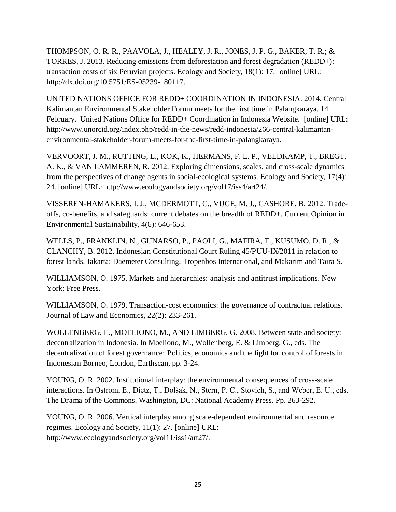THOMPSON, O. R. R., PAAVOLA, J., HEALEY, J. R., JONES, J. P. G., BAKER, T. R.; & TORRES, J. 2013. Reducing emissions from deforestation and forest degradation (REDD+): transaction costs of six Peruvian projects. Ecology and Society, 18(1): 17. [online] URL: http://dx.doi.org/10.5751/ES-05239-180117.

UNITED NATIONS OFFICE FOR REDD+ COORDINATION IN INDONESIA. 2014. Central Kalimantan Environmental Stakeholder Forum meets for the first time in Palangkaraya. 14 February. United Nations Office for REDD+ Coordination in Indonesia Website. [online] URL: http://www.unorcid.org/index.php/redd-in-the-news/redd-indonesia/266-central-kalimantanenvironmental-stakeholder-forum-meets-for-the-first-time-in-palangkaraya.

VERVOORT, J. M., RUTTING, L., KOK, K., HERMANS, F. L. P., VELDKAMP, T., BREGT, A. K., & VAN LAMMEREN, R. 2012. Exploring dimensions, scales, and cross-scale dynamics from the perspectives of change agents in social-ecological systems. Ecology and Society, 17(4): 24. [online] URL: http://www.ecologyandsociety.org/vol17/iss4/art24/.

VISSEREN-HAMAKERS, I. J., MCDERMOTT, C., VIJGE, M. J., CASHORE, B. 2012. Tradeoffs, co-benefits, and safeguards: current debates on the breadth of REDD+. Current Opinion in Environmental Sustainability, 4(6): 646-653.

WELLS, P., FRANKLIN, N., GUNARSO, P., PAOLI, G., MAFIRA, T., KUSUMO, D. R., & CLANCHY, B. 2012. Indonesian Constitutional Court Ruling 45/PUU-IX/2011 in relation to forest lands. Jakarta: Daemeter Consulting, Tropenbos International, and Makarim and Taira S.

WILLIAMSON, O. 1975. Markets and hierarchies: analysis and antitrust implications. New York: Free Press.

WILLIAMSON, O. 1979. Transaction-cost economics: the governance of contractual relations. Journal of Law and Economics, 22(2): 233-261.

WOLLENBERG, E., MOELIONO, M., AND LIMBERG, G. 2008. Between state and society: decentralization in Indonesia. In Moeliono, M., Wollenberg, E. & Limberg, G., eds. The decentralization of forest governance: Politics, economics and the fight for control of forests in Indonesian Borneo, London, Earthscan, pp. 3-24.

YOUNG, O. R. 2002. Institutional interplay: the environmental consequences of cross-scale interactions. In Ostrom, E., Dietz, T., Dolšak, N., Stern, P. C., Stovich, S., and Weber, E. U., eds. The Drama of the Commons. Washington, DC: National Academy Press. Pp. 263-292.

YOUNG, O. R. 2006. Vertical interplay among scale-dependent environmental and resource regimes. Ecology and Society, 11(1): 27. [online] URL: http://www.ecologyandsociety.org/vol11/iss1/art27/.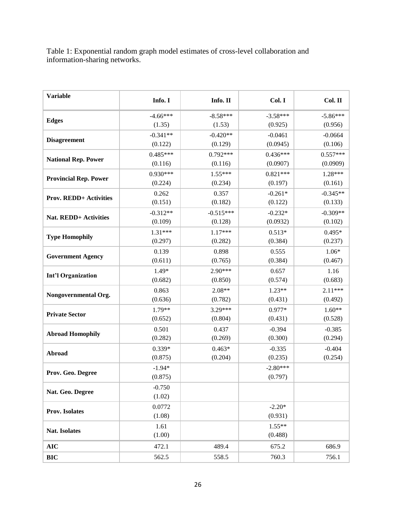Table 1: Exponential random graph model estimates of cross-level collaboration and information-sharing networks.

| <b>Variable</b>               | Info. I    | Info. II    | Col. I     | Col. II    |
|-------------------------------|------------|-------------|------------|------------|
|                               | $-4.66***$ | $-8.58***$  | $-3.58***$ | $-5.86***$ |
| <b>Edges</b>                  | (1.35)     | (1.53)      | (0.925)    | (0.956)    |
| <b>Disagreement</b>           | $-0.341**$ | $-0.420**$  | $-0.0461$  | $-0.0664$  |
|                               | (0.122)    | (0.129)     | (0.0945)   | (0.106)    |
| <b>National Rep. Power</b>    | $0.485***$ | $0.792***$  | $0.436***$ | $0.557***$ |
|                               | (0.116)    | (0.116)     | (0.0907)   | (0.0909)   |
| <b>Provincial Rep. Power</b>  | $0.930***$ | $1.55***$   | $0.821***$ | 1.28***    |
|                               | (0.224)    | (0.234)     | (0.197)    | (0.161)    |
| <b>Prov. REDD+ Activities</b> | 0.262      | 0.357       | $-0.261*$  | $-0.345**$ |
|                               | (0.151)    | (0.182)     | (0.122)    | (0.133)    |
| Nat. REDD+ Activities         | $-0.312**$ | $-0.515***$ | $-0.232*$  | $-0.309**$ |
|                               | (0.109)    | (0.128)     | (0.0932)   | (0.102)    |
| <b>Type Homophily</b>         | $1.31***$  | $1.17***$   | $0.513*$   | $0.495*$   |
|                               | (0.297)    | (0.282)     | (0.384)    | (0.237)    |
| <b>Government Agency</b>      | 0.139      | 0.898       | 0.555      | $1.06*$    |
|                               | (0.611)    | (0.765)     | (0.384)    | (0.467)    |
| <b>Int'l Organization</b>     | 1.49*      | $2.90***$   | 0.657      | 1.16       |
|                               | (0.682)    | (0.850)     | (0.574)    | (0.683)    |
| Nongovernmental Org.          | 0.863      | $2.08**$    | $1.23**$   | 2.11***    |
|                               | (0.636)    | (0.782)     | (0.431)    | (0.492)    |
| <b>Private Sector</b>         | 1.79**     | 3.29***     | 0.977*     | $1.60**$   |
|                               | (0.652)    | (0.804)     | (0.431)    | (0.528)    |
| <b>Abroad Homophily</b>       | 0.501      | 0.437       | $-0.394$   | $-0.385$   |
|                               | (0.282)    | (0.269)     | (0.300)    | (0.294)    |
| Abroad                        | $0.339*$   | $0.463*$    | $-0.335$   | $-0.404$   |
|                               | (0.875)    | (0.204)     | (0.235)    | (0.254)    |
| Prov. Geo. Degree             | $-1.94*$   |             | $-2.80***$ |            |
|                               | (0.875)    |             | (0.797)    |            |
| Nat. Geo. Degree              | $-0.750$   |             |            |            |
|                               | (1.02)     |             |            |            |
| Prov. Isolates                | 0.0772     |             | $-2.20*$   |            |
|                               | (1.08)     |             | (0.931)    |            |
| <b>Nat. Isolates</b>          | 1.61       |             | $1.55**$   |            |
|                               | (1.00)     |             | (0.488)    |            |
| <b>AIC</b>                    | 472.1      | 489.4       | 675.2      | 686.9      |
| <b>BIC</b>                    | 562.5      | 558.5       | 760.3      | 756.1      |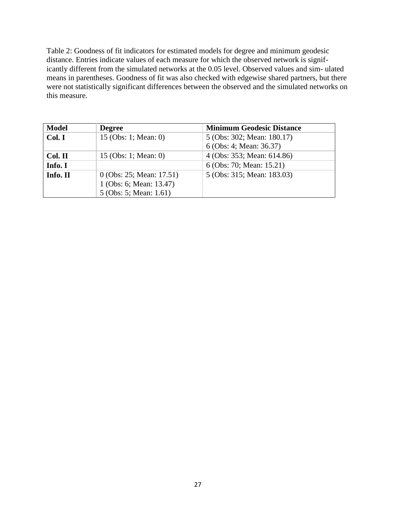Table 2: Goodness of fit indicators for estimated models for degree and minimum geodesic distance. Entries indicate values of each measure for which the observed network is significantly different from the simulated networks at the 0.05 level. Observed values and sim- ulated means in parentheses. Goodness of fit was also checked with edgewise shared partners, but there were not statistically significant differences between the observed and the simulated networks on this measure.

| <b>Model</b> | <b>Degree</b>              | <b>Minimum Geodesic Distance</b> |
|--------------|----------------------------|----------------------------------|
| Col. I       | 15 (Obs: 1; Mean: 0)       | 5 (Obs: 302; Mean: 180.17)       |
|              |                            | 6 (Obs: 4; Mean: 36.37)          |
| Col. II      | 15 (Obs: 1; Mean: 0)       | 4 (Obs: 353; Mean: 614.86)       |
| Info. I      |                            | 6 (Obs: 70; Mean: 15.21)         |
| Info. II     | $0$ (Obs: 25; Mean: 17.51) | 5 (Obs: 315; Mean: 183.03)       |
|              | 1 (Obs: 6; Mean: 13.47)    |                                  |
|              | 5 (Obs: 5; Mean: 1.61)     |                                  |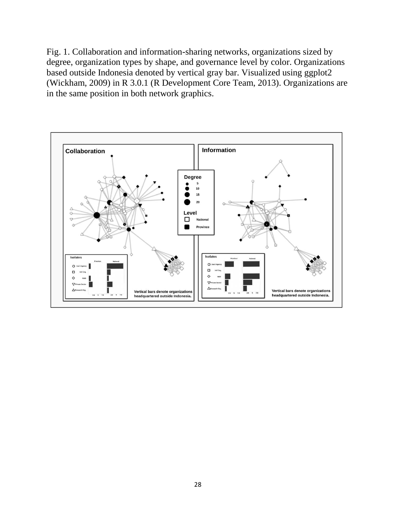Fig. 1. Collaboration and information-sharing networks, organizations sized by degree, organization types by shape, and governance level by color. Organizations based outside Indonesia denoted by vertical gray bar. Visualized using ggplot2 (Wickham, 2009) in R 3.0.1 (R Development Core Team, 2013). Organizations are in the same position in both network graphics.

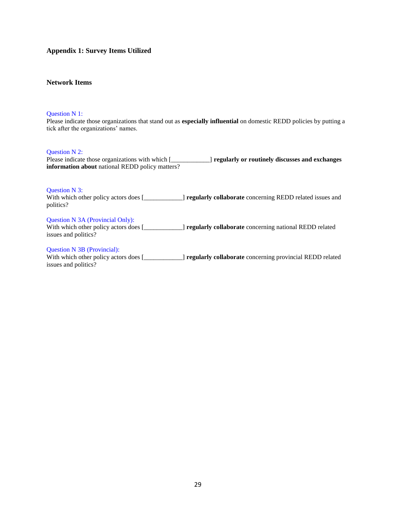### **Appendix 1: Survey Items Utilized**

### **Network Items**

### Question N 1:

Please indicate those organizations that stand out as **especially influential** on domestic REDD policies by putting a tick after the organizations' names.

#### Question N 2:

Please indicate those organizations with which [\_\_\_\_\_\_\_\_\_\_\_\_] **regularly or routinely discusses and exchanges information about** national REDD policy matters?

#### Question N 3:

With which other policy actors does [\_\_\_\_\_\_\_\_\_\_\_\_] **regularly collaborate** concerning REDD related issues and politics?

#### Question N 3A (Provincial Only):

With which other policy actors does [\_\_\_\_\_\_\_\_\_\_\_\_] **regularly collaborate** concerning national REDD related issues and politics?

#### Question N 3B (Provincial):

With which other policy actors does [\_\_\_\_\_\_\_\_\_\_\_\_] **regularly collaborate** concerning provincial REDD related issues and politics?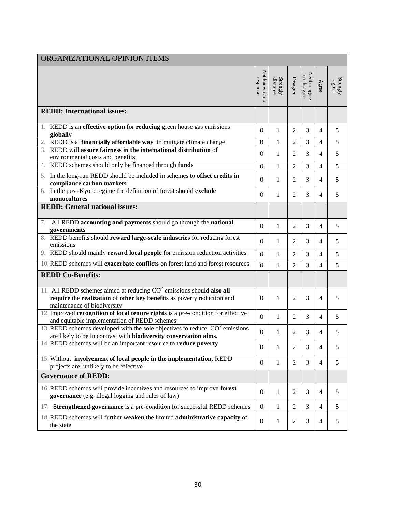| ORGANIZATIONAL OPINION ITEMS                                                                                                                                                    |                            |                                                             |                     |                               |                |                                                                |
|---------------------------------------------------------------------------------------------------------------------------------------------------------------------------------|----------------------------|-------------------------------------------------------------|---------------------|-------------------------------|----------------|----------------------------------------------------------------|
|                                                                                                                                                                                 | Not known / nc<br>response | $\begin{array}{c} \rm Strongly \\ \rm disagree \end{array}$ | Disagree            | Neither agree<br>nor disagree | Agree          | $\begin{array}{c} \text{Strongly} \\ \text{agree} \end{array}$ |
| <b>REDD:</b> International issues:                                                                                                                                              |                            |                                                             |                     |                               |                |                                                                |
| 1. REDD is an effective option for reducing green house gas emissions                                                                                                           | $\overline{0}$             | 1                                                           | 2                   | 3                             | 4              | 5                                                              |
| globally<br>REDD is a financially affordable way to mitigate climate change                                                                                                     |                            |                                                             |                     |                               |                | 5                                                              |
| 3. REDD will assure fairness in the international distribution of<br>environmental costs and benefits                                                                           | $\theta$<br>$\overline{0}$ | 1<br>$\mathbf{1}$                                           | 2<br>$\overline{2}$ | 3<br>3                        | 4<br>4         | 5                                                              |
| REDD schemes should only be financed through funds<br>4.                                                                                                                        | $\boldsymbol{0}$           | $\mathbf{1}$                                                | $\overline{2}$      | 3                             | 4              | 5                                                              |
| 5. In the long-run REDD should be included in schemes to offset credits in<br>compliance carbon markets                                                                         | $\boldsymbol{0}$           | $\mathbf{1}$                                                | $\overline{2}$      | 3                             | 4              | 5                                                              |
| 6. In the post-Kyoto regime the definition of forest should exclude<br>monocultures                                                                                             | $\boldsymbol{0}$           | $\mathbf{1}$                                                | $\overline{2}$      | 3                             | 4              | 5                                                              |
| <b>REDD:</b> General national issues:                                                                                                                                           |                            |                                                             |                     |                               |                |                                                                |
| All REDD accounting and payments should go through the national<br>7.<br>governments                                                                                            | $\boldsymbol{0}$           | $\mathbf{1}$                                                | 2                   | 3                             | 4              | 5                                                              |
| 8. REDD benefits should reward large-scale industries for reducing forest<br>emissions                                                                                          | $\mathbf{0}$               | $\mathbf{1}$                                                | 2                   | 3                             | 4              | 5                                                              |
| 9. REDD should mainly reward local people for emission reduction activities                                                                                                     | $\boldsymbol{0}$           | $\mathbf{1}$                                                | $\overline{2}$      | 3                             | 4              | 5                                                              |
| 10. REDD schemes will exacerbate conflicts on forest land and forest resources                                                                                                  | $\overline{0}$             | $\mathbf{1}$                                                | $\overline{2}$      | 3                             | 4              | 5                                                              |
| <b>REDD Co-Benefits:</b>                                                                                                                                                        |                            |                                                             |                     |                               |                |                                                                |
| 11. All REDD schemes aimed at reducing $CO2$ emissions should also all<br>require the realization of other key benefits as poverty reduction and<br>maintenance of biodiversity | $\overline{0}$             | $\mathbf 1$                                                 | $\overline{2}$      | 3                             | 4              | 5                                                              |
| 12. Improved recognition of local tenure rights is a pre-condition for effective<br>and equitable implementation of REDD schemes                                                | $\mathbf{0}$               | 1                                                           | 2                   | 3                             | 4              | 5                                                              |
| 13. REDD schemes developed with the sole objectives to reduce $\overline{CO}^2$ emissions<br>are likely to be in contrast with biodiversity conservation aims.                  | $\boldsymbol{0}$           | 1                                                           | $\overline{2}$      | 3                             | 4              | 5                                                              |
| 14. REDD schemes will be an important resource to reduce poverty                                                                                                                | $\theta$                   | $\mathbf 1$                                                 | $\overline{2}$      | 3                             | 4              | 5                                                              |
| 15. Without involvement of local people in the implementation, REDD<br>projects are unlikely to be effective                                                                    | $\overline{0}$             | $\mathbf{1}$                                                | $\overline{2}$      | 3                             | 4              | 5                                                              |
| <b>Governance of REDD:</b>                                                                                                                                                      |                            |                                                             |                     |                               |                |                                                                |
| 16. REDD schemes will provide incentives and resources to improve forest<br>governance (e.g. illegal logging and rules of law)                                                  | $\overline{0}$             | 1                                                           | 2                   | 3                             | 4              | 5                                                              |
| 17. Strengthened governance is a pre-condition for successful REDD schemes                                                                                                      | $\overline{0}$             | $\mathbf{1}$                                                | 2                   | 3                             | $\overline{4}$ | 5                                                              |
| 18. REDD schemes will further weaken the limited administrative capacity of<br>the state                                                                                        | $\mathbf{0}$               | 1                                                           | $\overline{c}$      | 3                             | 4              | $\sqrt{5}$                                                     |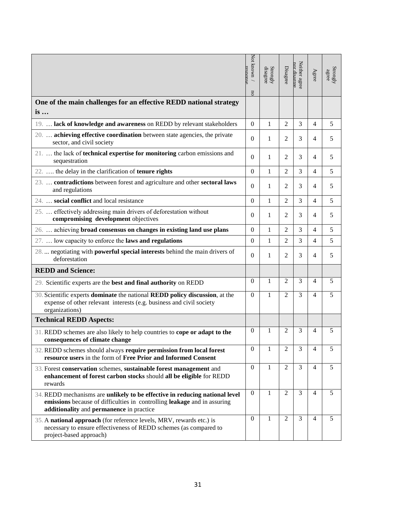|                                                                                                                                                                                                     | Not known /<br>resnonse<br><b>DO</b> | $\begin{array}{c} \text{Strongly} \\ \text{disagree} \end{array}$ | Disagree       | Neither agree<br>nor disaeree | Agree | $\begin{array}{c} \text{Strongly} \\ \text{agree} \end{array}$ |
|-----------------------------------------------------------------------------------------------------------------------------------------------------------------------------------------------------|--------------------------------------|-------------------------------------------------------------------|----------------|-------------------------------|-------|----------------------------------------------------------------|
| One of the main challenges for an effective REDD national strategy<br>is                                                                                                                            |                                      |                                                                   |                |                               |       |                                                                |
| 19.  lack of knowledge and awareness on REDD by relevant stakeholders                                                                                                                               | $\overline{0}$                       | 1                                                                 | 2              | 3                             | 4     | 5                                                              |
| 20.  achieving effective coordination between state agencies, the private<br>sector, and civil society                                                                                              | $\Omega$                             | 1                                                                 | $\overline{2}$ | 3                             | 4     | 5                                                              |
| 21.  the lack of technical expertise for monitoring carbon emissions and<br>sequestration                                                                                                           | $\theta$                             | 1                                                                 | 2              | 3                             | 4     | 5                                                              |
| 22.  the delay in the clarification of <b>tenure rights</b>                                                                                                                                         | $\theta$                             | 1                                                                 | $\overline{2}$ | 3                             | 4     | 5                                                              |
| 23.  contradictions between forest and agriculture and other sectoral laws<br>and regulations                                                                                                       | $\overline{0}$                       | 1                                                                 | 2              | 3                             | 4     | 5                                                              |
| 24.  social conflict and local resistance                                                                                                                                                           | $\overline{0}$                       | $\mathbf{1}$                                                      | $\overline{2}$ | 3                             | 4     | 5                                                              |
| 25.  effectively addressing main drivers of deforestation without<br>compromising development objectives                                                                                            | $\Omega$                             | 1                                                                 | 2              | 3                             | 4     | 5                                                              |
| 26.  achieving broad consensus on changes in existing land use plans                                                                                                                                | $\Omega$                             | 1                                                                 | $\overline{2}$ | 3                             | 4     | 5                                                              |
| 27.  low capacity to enforce the laws and regulations                                                                                                                                               | $\mathbf{0}$                         | 1                                                                 | 2              | 3                             | 4     | 5                                                              |
| 28.  negotiating with powerful special interests behind the main drivers of<br>deforestation                                                                                                        | $\Omega$                             | 1                                                                 | 2              | 3                             | 4     | 5                                                              |
| <b>REDD</b> and Science:                                                                                                                                                                            |                                      |                                                                   |                |                               |       |                                                                |
| 29. Scientific experts are the best and final authority on REDD                                                                                                                                     | 0                                    | 1                                                                 | 2              | 3                             | 4     | 5                                                              |
| 30. Scientific experts dominate the national REDD policy discussion, at the<br>expense of other relevant interests (e.g. business and civil society<br>organizations)                               |                                      | 1                                                                 | $\overline{2}$ | 3                             | 4     | 5                                                              |
| <b>Technical REDD Aspects:</b>                                                                                                                                                                      |                                      |                                                                   |                |                               |       |                                                                |
| 31. REDD schemes are also likely to help countries to cope or adapt to the<br>consequences of climate change                                                                                        |                                      | 1                                                                 | 2              | 3                             | 4     | 5                                                              |
| 32. REDD schemes should always require permission from local forest<br>resource users in the form of Free Prior and Informed Consent                                                                | $\theta$                             | 1                                                                 | $\overline{2}$ | 3                             | 4     | 5                                                              |
| 33. Forest conservation schemes, sustainable forest management and<br>enhancement of forest carbon stocks should all be eligible for REDD<br>rewards                                                |                                      | 1                                                                 | 2              | 3                             | 4     | 5                                                              |
| 34. REDD mechanisms are unlikely to be effective in reducing national level<br>emissions because of difficulties in controlling leakage and in assuring<br>additionality and permanence in practice | $\theta$                             | 1                                                                 | $\overline{2}$ | 3                             | 4     | 5                                                              |
| 35. A national approach (for reference levels, MRV, rewards etc.) is<br>necessary to ensure effectiveness of REDD schemes (as compared to<br>project-based approach)                                | $\theta$                             | 1                                                                 | 2              | 3                             | 4     | 5                                                              |